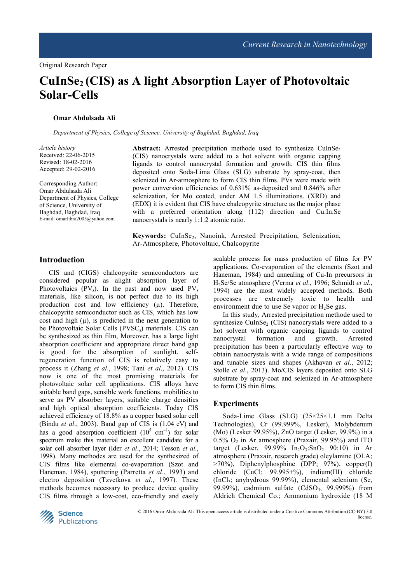# **CuInSe2 (CIS) as A light Absorption Layer of Photovoltaic Solar-Cells**

### **Omar Abdulsada Ali**

*Department of Physics, College of Science, University of Baghdad, Baghdad, Iraq* 

*Article history*  Received: 22-06-2015 Revised: 18-02-2016 Accepted: 29-02-2016

Corresponding Author: Omar Abdulsada Ali Department of Physics, College of Science, University of Baghdad, Baghdad, Iraq E-mail: omarlibra2005@yahoo.com

Abstract: Arrested precipitation methode used to synthesize CuInSe<sub>2</sub> (CIS) nanocrystals were added to a hot solvent with organic capping ligands to control nanocrystal formation and growth. CIS thin films deposited onto Soda-Lima Glass (SLG) substrate by spray-coat, then selenized in Ar-atmosphere to form CIS thin films. PVs were made with power conversion efficiencies of 0.631% as-deposited and 0.846% after selenization, for Mo coated, under AM 1.5 illuminations. (XRD) and (EDX) it is evident that CIS have chalcopyrite structure as the major phase with a preferred orientation along (112) direction and Cu:In:Se nanocrystals is nearly 1:1:2 atomic ratio.

Keywords: CuInSe<sub>2</sub>, Nanoink, Arrested Precipitation, Selenization, Ar-Atmosphere, Photovoltaic, Chalcopyrite

# **Introduction**

CIS and (CIGS) chalcopyrite semiconductors are considered popular as alight absorption layer of Photovoltaics  $(PV_s)$ . In the past and now used  $PV_s$ materials, like silicon, is not perfect due to its high production cost and low efficiency  $(\mu)$ . Therefore, chalcopyrite semiconductor such as CIS, which has low cost and high  $(\mu)$ , is predicted in the next generation to be Photovoltaic Solar Cells (PVSC<sub>s</sub>) materials. CIS can be synthesized as thin film, Moreover, has a large light absorption coefficient and appropriate direct band gap is good for the absorption of sunlight. selfregeneration function of CIS is relatively easy to process it (Zhang *et al*., 1998; Tani *et al*., 2012). CIS now is one of the most promising materials for photovoltaic solar cell applications. CIS alloys have suitable band gaps, sensible work functions, mobilities to serve as PV absorber layers, suitable charge densities and high optical absorption coefficients. Today CIS achieved efficiency of 18.8% as a copper based solar cell (Bindu *et al*., 2003). Band gap of CIS is (1.04 eV) and has a good absorption coefficient  $(10^5 \text{ cm}^{-1})$  for solar spectrum make this material an excellent candidate for a solar cell absorber layer (Ider *et al*., 2014; Tesson *et al*., 1998). Many methodes are used for the synthesized of CIS films like elemental co-evaporation (Szot and Haneman, 1984), sputtering (Parretta *et al*., 1993) and electro deposition (Tzvetkova *et al*., 1997). These methods becomes necessary to produce device quality CIS films through a low-cost, eco-friendly and easily

scalable process for mass production of films for PV applications. Co-evaporation of the elements (Szot and Haneman, 1984) and annealing of Cu-In precursors in H2Se/Se atmosphere (Verma *et al*., 1996; Schmidt *et al*., 1994) are the most widely accepted methods. Both processes are extremely toxic to health and environment due to use Se vapor or  $H_2$ Se gas.

In this study, Arrested precipitation methode used to synthesize CuInSe<sub>2</sub> (CIS) nanocrystals were added to a hot solvent with organic capping ligands to control nanocrystal formation and growth. Arrested precipitation has been a particularly effective way to obtain nanocrystals with a wide range of compositions and tunable sizes and shapes (Akhavan *et al*., 2012; Stolle *et al*., 2013). Mo/CIS layers deposited onto SLG substrate by spray-coat and selenized in Ar-atmosphere to form CIS thin films.

### **Experiments**

Soda-Lime Glass (SLG) (25×25×1.1 mm Delta Technologies), Cr (99.999%, Lesker), Molybdenum (Mo) (Lesker 99.95%), ZnO target (Lesker, 99.9%) in a  $0.5\%$  O<sub>2</sub> in Ar atmosphere (Praxair, 99.95%) and ITO target (Lesker, 99.99%  $In_2O_3:SnO_2$  90:10) in Ar atmosphere (Praxair, research grade) oleylamine (OLA; >70%), Diphenylphosphine (DPP; 97%), copper(I) chloride (CuCl; 99.995+%), indium(III) chloride (InCl3; anyhydrous 99.99%), elemental selenium (Se, 99.99%), cadmium sulfate (CdSO4, 99.999%) from Aldrich Chemical Co.; Ammonium hydroxide (18 M

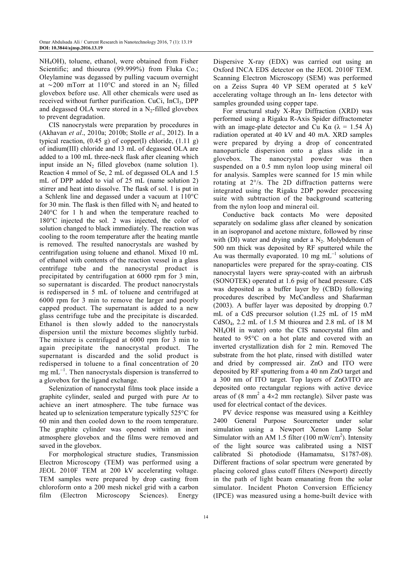NH4OH), toluene, ethanol, were obtained from Fisher Scientific; and thiourea (99.999%) from Fluka Co.; Oleylamine was degassed by pulling vacuum overnight at ∼200 mTorr at 110°C and stored in an N<sub>2</sub> filled glovebox before use. All other chemicals were used as received without further purification. CuCi, InCl<sub>3</sub>, DPP and degassed OLA were stored in a  $N_2$ -filled glovebox to prevent degradation.

CIS nanocrystals were preparation by procedures in (Akhavan *et al*., 2010a; 2010b; Stolle *et al*., 2012). In a typical reaction,  $(0.45 \text{ g})$  of copper(I) chloride,  $(1.11 \text{ g})$ of indium(III) chloride and 13 mL of degassed OLA are added to a 100 mL three-neck flask after cleaning which input inside an  $N_2$  filled glovebox (name solution 1). Reaction 4 mmol of Se, 2 mL of degassed OLA and 1.5 mL of DPP added to vial of 25 mL (name solution 2) stirrer and heat into dissolve. The flask of sol. 1 is put in a Schlenk line and degassed under a vacuum at 110°C for 30 min. The flask is then filled with  $N_2$  and heated to 240°C for 1 h and when the temperature reached to 180°C injected the sol. 2 was injected, the color of solution changed to black immediately. The reaction was cooling to the room temperature after the heating mantle is removed. The resulted nanocrystals are washed by centrifugation using toluene and ethanol. Mixed 10 mL of ethanol with contents of the reaction vessel in a glass centrifuge tube and the nanocrystal product is precipitated by centrifugation at 6000 rpm for 3 min, so supernatant is discarded. The product nanocrystals is redispersed in 5 mL of toluene and centrifuged at 6000 rpm for 3 min to remove the larger and poorly capped product. The supernatant is added to a new glass centrifuge tube and the precipitate is discarded. Ethanol is then slowly added to the nanocrystals dispersion until the mixture becomes slightly turbid. The mixture is centrifuged at 6000 rpm for 3 min to again precipitate the nanocrystal product. The supernatant is discarded and the solid product is redispersed in toluene to a final concentration of 20 mg mL<sup>-1</sup>. Then nanocrystals dispersion is transferred to a glovebox for the ligand exchange.

Selenization of nanocrystal films took place inside a graphite cylinder, sealed and purged with pure Ar to achieve an inert atmosphere. The tube furnace was heated up to selenization temperature typically 525°C for 60 min and then cooled down to the room temperature. The graphite cylinder was opened within an inert atmosphere glovebox and the films were removed and saved in the glovebox.

For morphological structure studies, Transmission Electron Microscopy (TEM) was performed using a JEOL 2010F TEM at 200 kV accelerating voltage. TEM samples were prepared by drop casting from chloroform onto a 200 mesh nickel grid with a carbon film (Electron Microscopy Sciences). Energy

Dispersive X-ray (EDX) was carried out using an Oxford INCA EDS detector on the JEOL 2010F TEM. Scanning Electron Microscopy (SEM) was performed on a Zeiss Supra 40 VP SEM operated at 5 keV accelerating voltage through an In- lens detector with samples grounded using copper tape.

For structural study X-Ray Diffraction (XRD) was performed using a Rigaku R-Axis Spider diffractometer with an image-plate detector and Cu K $\alpha$  ( $\lambda$  = 1.54 Å) radiation operated at 40 kV and 40 mA. XRD samples were prepared by drying a drop of concentrated nanoparticle dispersion onto a glass slide in a glovebox. The nanocrystal powder was then suspended on a 0.5 mm nylon loop using mineral oil for analysis. Samples were scanned for 15 min while rotating at 2°/s. The 2D diffraction patterns were integrated using the Rigaku 2DP powder processing suite with subtraction of the background scattering from the nylon loop and mineral oil.

Conductive back contacts Mo were deposited separately on sodalime glass after cleaned by sonication in an isopropanol and acetone mixture, followed by rinse with (DI) water and drying under a  $N_2$ . Molybdenum of 500 nm thick was deposited by RF sputtered while the Au was thermally evaporated. 10 mg mL<sup>−</sup><sup>1</sup> solutions of nanoparticles were prepared for the spray-coating. CIS nanocrystal layers were spray-coated with an airbrush (SONOTEK) operated at 1.6 psig of head pressure. CdS was deposited as a buffer layer by (CBD) following procedures described by McCandless and Shafarman (2003). A buffer layer was deposited by dropping 0.7 mL of a CdS precursor solution (1.25 mL of 15 mM CdSO4, 2.2 mL of 1.5 M thiourea and 2.8 mL of 18 M NH4OH in water) onto the CIS nanocrystal film and heated to 95°C on a hot plate and covered with an inverted crystallization dish for 2 min. Removed The substrate from the hot plate, rinsed with distilled water and dried by compressed air. ZnO and ITO were deposited by RF sputtering from a 40 nm ZnO target and a 300 nm of ITO target. Top layers of ZnO/ITO are deposited onto rectangular regions with active device areas of  $(8 \text{ mm}^2 \text{ a } 4 \times 2 \text{ mm} \text{ rectangle})$ . Silver paste was used for electrical contact of the devices.

PV device response was measured using a Keithley 2400 General Purpose Sourcemeter under solar simulation using a Newport Xenon Lamp Solar Simulator with an AM 1.5 filter  $(100 \text{ mW/cm}^2)$ . Intensity of the light source was calibrated using a NIST calibrated Si photodiode (Hamamatsu, S1787-08). Different fractions of solar spectrum were generated by placing colored glass cutoff filters (Newport) directly in the path of light beam emanating from the solar simulator. Incident Photon Conversion Efficiency (IPCE) was measured using a home-built device with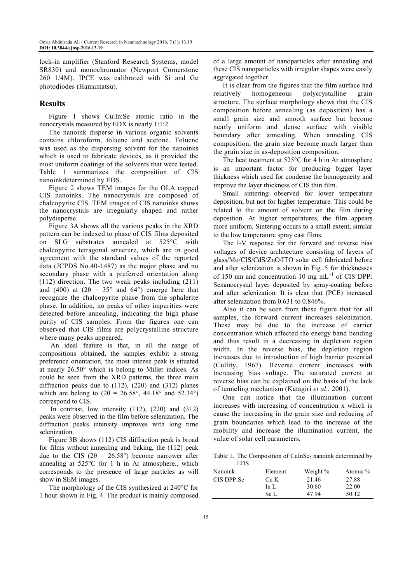lock-in amplifier (Stanford Research Systems, model SR830) and monochromator (Newport Cornerstone 260 1/4M). IPCE was calibrated with Si and Ge photodiodes (Hamamatsu).

# **Results**

Figure 1 shows Cu:In:Se atomic ratio in the nanocrystals measured by EDX is nearly 1:1:2.

The nanoink disperse in various organic solvents contains chloroform, toluene and acetone. Toluene was used as the dispersing solvent for the nanoinks which is used to fabricate devices, as it provided the most uniform coatings of the solvents that were tested. Table 1 summarizes the composition of CIS nanoinkdetermined by EDS.

Figure 2 shows TEM images for the OLA capped CIS nanoinks. The nanocrystals are composed of chalcopyrite CIS. TEM images of CIS nanoinks shows the nanocrystals are irregularly shaped and rather polydisperse.

Figure 3A shows all the various peaks in the XRD pattern can be indexed to phase of CIS films deposited on SLG substrates annealed at 525°C with chalcopyrite tetragonal structure, which are in good agreement with the standard values of the reported data (JCPDS No.40-1487) as the major phase and no secondary phase with a preferred orientation along (112) direction. The two weak peaks including (211) and (400) at ( $2\theta = 35^{\circ}$  and 64°) emerge here that recognize the chalcopyrite phase from the sphalerite phase. In addition, no peaks of other impurities were detected before annealing, indicating the high phase purity of CIS samples. From the figures one can observed that CIS films are polycrystalline structure where many peaks appeared.

 An ideal feature is that, in all the range of compositions obtained, the samples exhibit a strong preference orientation, the most intense peak is situated at nearly 26.50° which is belong to Miller indices. As could be seen from the XRD patterns, the three main diffraction peaks due to (112), (220) and (312) planes which are belong to  $(2\theta = 26.58^{\circ}, 44.18^{\circ})$  and  $52.34^{\circ})$ correspond to CIS.

In contrast, low intensity  $(112)$ ,  $(220)$  and  $(312)$ peaks were observed in the film before selenization. The diffraction peaks intensity improves with long time selenization.

Figure 3B shows (112) CIS diffraction peak is broad for films without annealing and baking, the (112) peak due to the CIS ( $2\theta = 26.58^{\circ}$ ) become narrower after annealing at 525°C for 1 h in Ar atmosphere., which corresponds to the presence of large particles as will show in SEM images.

The morphology of the CIS synthesized at 240°C for 1 hour shown in Fig. 4. The product is mainly composed of a large amount of nanoparticles after annealing and these CIS nanoparticles with irregular shapes were easily aggregated together.

It is clear from the figures that the film surface had relatively homogeneous polycrystalline grain structure. The surface morphology shows that the CIS composition before annealing (as deposition) has a small grain size and smooth surface but become nearly uniform and dense surface with visible boundary after annealing. When annealing CIS composition, the grain size become much larger than the grain size in as-deposition composition.

The heat treatment at 525°C for 4 h in Ar atmosphere is an important factor for producing bigger layer thickness which used for condense the homogeneity and improve the layer thickness of CIS thin film.

Small sintering observed for lower temperature deposition, but not for higher temperature. This could be related to the amount of solvent on the film during deposition. At higher temperatures, the film appears more uniform. Sintering occurs to a small extent, similar to the low temperature spray cast films.

The I-V response for the forward and reverse bias voltages of device architecture consisting of layers of glass/Mo/CIS/CdS/ZnO/ITO solar cell fabricated before and after selenization is shown in Fig. 5 for thicknesses of 150 nm and concentration 10 mg mL<sup>-1</sup> of CIS DPP: Senanocrystal layer deposited by spray-coating before and after selenization. It is clear that (PCE) increased after selenization from 0.631 to 0.846%.

Also it can be seen from these figure that for all samples, the forward current increases selenization. These may be due to the increase of carrier concentration which affected the energy band bending and thus result in a decreasing in depletion region width. In the reverse bias, the depletion region increases due to introduction of high barrier potential (Cullity, 1967). Reverse current increases with increasing bias voltage. The saturated current at reverse bias can be explained on the basis of the lack of tunneling mechanism (Katagiri *et al*., 2001).

One can notice that the illumination current increases with increasing of concentration x which is cause the increasing in the grain size and reducing of grain boundaries which lead to the increase of the mobility and increase the illumination current, the value of solar cell parameters.

Table 1. The Composition of CuInSe<sub>2</sub> nanoink determined by EDS

| ---            |         |            |          |
|----------------|---------|------------|----------|
| <b>Nanoink</b> | Element | Weight $%$ | Atomic % |
| CIS DPP:Se     | Cu K    | 21.46      | 27.88    |
|                | In L    | 30.60      | 22.00    |
|                | Se L    | 47 94      | 50.12    |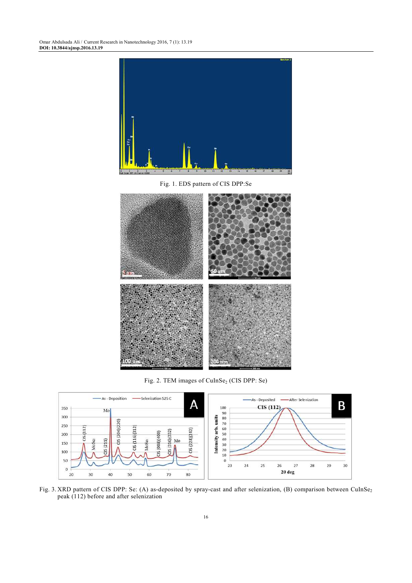

Fig. 1. EDS pattern of CIS DPP:Se



Fig. 2. TEM images of  $\text{CulnSe}_2$  (CIS DPP: Se)



Fig. 3. XRD pattern of CIS DPP: Se: (A) as-deposited by spray-cast and after selenization, (B) comparison between CuInSe<sub>2</sub> peak (112) before and after selenization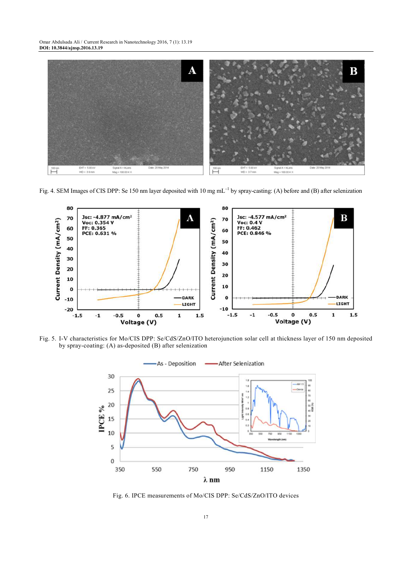

Fig. 4. SEM Images of CIS DPP: Se 150 nm layer deposited with 10 mg mL<sup>-1</sup> by spray-casting: (A) before and (B) after selenization



Fig. 5. I-V characteristics for Mo/CIS DPP: Se/CdS/ZnO/ITO heterojunction solar cell at thickness layer of 150 nm deposited by spray-coating: (A) as-deposited (B) after selenization



Fig. 6. IPCE measurements of Mo/CIS DPP: Se/CdS/ZnO/ITO devices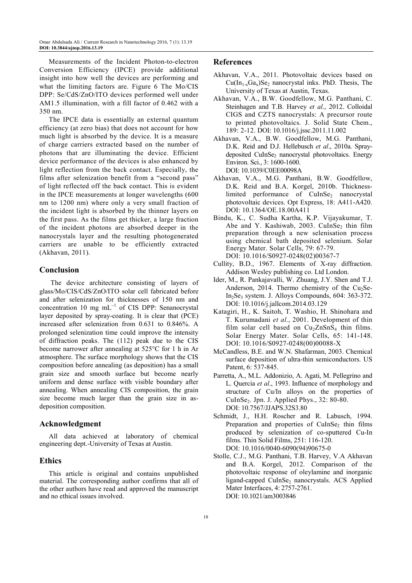Measurements of the Incident Photon-to-electron Conversion Efficiency (IPCE) provide additional insight into how well the devices are performing and what the limiting factors are. Figure 6 The Mo/CIS DPP: Se/CdS/ZnO/ITO devices performed well under AM1.5 illumination, with a fill factor of 0.462 with a 350 nm.

The IPCE data is essentially an external quantum efficiency (at zero bias) that does not account for how much light is absorbed by the device. It is a measure of charge carriers extracted based on the number of photons that are illuminating the device. Efficient device performance of the devices is also enhanced by light reflection from the back contact. Especially, the films after selenization benefit from a "second pass" of light reflected off the back contact. This is evident in the IPCE measurements at longer wavelengths (600 nm to 1200 nm) where only a very small fraction of the incident light is absorbed by the thinner layers on the first pass. As the films get thicker, a large fraction of the incident photons are absorbed deeper in the nanocrystals layer and the resulting photogenerated carriers are unable to be efficiently extracted (Akhavan, 2011).

## **Conclusion**

 The device architecture consisting of layers of glass/Mo/CIS/CdS/ZnO/ITO solar cell fabricated before and after selenization for thicknesses of 150 nm and concentration 10 mg mL<sup>−</sup><sup>1</sup> of CIS DPP: Senanocrystal layer deposited by spray-coating. It is clear that (PCE) increased after selenization from 0.631 to 0.846%. A prolonged selenization time could improve the intensity of diffraction peaks. The (112) peak due to the CIS become narrower after annealing at 525°C for 1 h in Ar atmosphere. The surface morphology shows that the CIS composition before annealing (as deposition) has a small grain size and smooth surface but become nearly uniform and dense surface with visible boundary after annealing. When annealing CIS composition, the grain size become much larger than the grain size in asdeposition composition.

## **Acknowledgment**

All data achieved at laboratory of chemical engineering dept.-University of Texas at Austin.

# **Ethics**

This article is original and contains unpublished material. The corresponding author confirms that all of the other authors have read and approved the manuscript and no ethical issues involved.

# **References**

- Akhavan, V.A., 2011. Photovoltaic devices based on  $Cu(In_{1-x}Ga_x)Se_2$  nanocrystal inks. PhD. Thesis, The University of Texas at Austin, Texas.
- Akhavan, V.A., B.W. Goodfellow, M.G. Panthani, C. Steinhagen and T.B. Harvey *et al*., 2012. Colloidal CIGS and CZTS nanocrystals: A precursor route to printed photovoltaics. J. Solid State Chem., 189: 2-12. DOI: 10.1016/j.jssc.2011.11.002
- Akhavan, V.A., B.W. Goodfellow, M.G. Panthani, D.K. Reid and D.J. Hellebusch *et al*., 2010a. Spraydeposited CuInSe<sub>2</sub> nanocrystal photovoltaics. Energy Environ. Sci., 3: 1600-1600. DOI: 10.1039/C0EE00098A
- Akhavan, V.A., M.G. Panthani, B.W. Goodfellow, D.K. Reid and B.A. Korgel, 2010b. Thicknesslimited performance of CuInSe<sub>2</sub> nanocrystal photovoltaic devices. Opt Express, 18: A411-A420. DOI: 10.1364/OE.18.00A411
- Bindu, K., C. Sudha Kartha, K.P. Vijayakumar, T. Abe and Y. Kashiwab, 2003. CuInSe<sub>2</sub> thin film preparation through a new selenisation process using chemical bath deposited selenium. Solar Energy Mater. Solar Cells, 79: 67-79. DOI: 10.1016/S0927-0248(02)00367-7
- Cullity, B.D., 1967. Elements of X-ray diffraction. Addison Wesley publishing co. Ltd London.
- Ider, M., R. Pankajavalli, W. Zhuang, J.Y. Shen and T.J. Anderson, 2014. Thermo chemistry of the  $Cu<sub>2</sub>Se-$ In2Se3 system. J. Alloys Compounds, 604: 363-372. DOI: 10.1016/j.jallcom.2014.03.129
- Katagiri, H., K. Saitoh, T. Washio, H. Shinohara and T. Kurumadani *et al*., 2001. Development of thin film solar cell based on  $Cu<sub>2</sub>ZnSnS<sub>4</sub>$  thin films. Solar Energy Mater. Solar Cells, 65: 141-148. DOI: 10.1016/S0927-0248(00)00088-X
- McCandless, B.E. and W.N. Shafarman, 2003. Chemical surface deposition of ultra-thin semiconductors. US Patent, 6: 537-845.
- Parretta, A., M.L. Addonizio, A. Agati, M. Pellegrino and L. Quercia *et al*., 1993. Influence of morphology and structure of Cu/In alloys on the properties of CuInSe2. Jpn. J. Applied Phys., 32: 80-80. DOI: 10.7567/JJAPS.32S3.80
- Schmidt, J., H.H. Roscher and R. Labusch, 1994. Preparation and properties of  $CuInSe<sub>2</sub>$  thin films produced by selenization of co-sputtered Cu-In films. Thin Solid Films, 251: 116-120. DOI: 10.1016/0040-6090(94)90675-0
- Stolle, C.J., M.G. Panthani, T.B. Harvey, V.A Akhavan and B.A. Korgel, 2012. Comparison of the photovoltaic response of oleylamine and inorganic ligand-capped CuInSe<sub>2</sub> nanocrystals. ACS Applied Mater Interfaces, 4: 2757-2761. DOI: 10.1021/am3003846